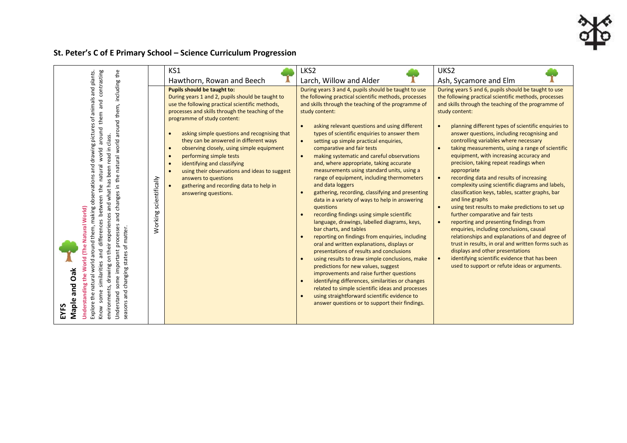## **St. Peter's C of E Primary School – Science Curriculum Progression**

|                                                                                                                                                                                                                                                                                                                                                                                                                                                                                                                                                                                                         |                            | KS1                                                                                                                                                                                                                                                                                                                                                                                                                                                                                                                                                                                                  | LKS <sub>2</sub>                                                                                                                                                                                                                                                                                                                                                                                                                                                                                                                                                                                                                                                                                                                                                                                                                                                                                                                                                                                                                                                                                                                                                                                                                                                                                                                                                             | UKS2                                                                                                                                                                                                                                                                                                                                                                                                                                                                                                                                                                                                                                                                                                                                                                                                                                                                                                                                                                                                                                         |
|---------------------------------------------------------------------------------------------------------------------------------------------------------------------------------------------------------------------------------------------------------------------------------------------------------------------------------------------------------------------------------------------------------------------------------------------------------------------------------------------------------------------------------------------------------------------------------------------------------|----------------------------|------------------------------------------------------------------------------------------------------------------------------------------------------------------------------------------------------------------------------------------------------------------------------------------------------------------------------------------------------------------------------------------------------------------------------------------------------------------------------------------------------------------------------------------------------------------------------------------------------|------------------------------------------------------------------------------------------------------------------------------------------------------------------------------------------------------------------------------------------------------------------------------------------------------------------------------------------------------------------------------------------------------------------------------------------------------------------------------------------------------------------------------------------------------------------------------------------------------------------------------------------------------------------------------------------------------------------------------------------------------------------------------------------------------------------------------------------------------------------------------------------------------------------------------------------------------------------------------------------------------------------------------------------------------------------------------------------------------------------------------------------------------------------------------------------------------------------------------------------------------------------------------------------------------------------------------------------------------------------------------|----------------------------------------------------------------------------------------------------------------------------------------------------------------------------------------------------------------------------------------------------------------------------------------------------------------------------------------------------------------------------------------------------------------------------------------------------------------------------------------------------------------------------------------------------------------------------------------------------------------------------------------------------------------------------------------------------------------------------------------------------------------------------------------------------------------------------------------------------------------------------------------------------------------------------------------------------------------------------------------------------------------------------------------------|
| contrasting                                                                                                                                                                                                                                                                                                                                                                                                                                                                                                                                                                                             |                            | Hawthorn, Rowan and Beech                                                                                                                                                                                                                                                                                                                                                                                                                                                                                                                                                                            | Larch, Willow and Alder                                                                                                                                                                                                                                                                                                                                                                                                                                                                                                                                                                                                                                                                                                                                                                                                                                                                                                                                                                                                                                                                                                                                                                                                                                                                                                                                                      | Ash, Sycamore and Elm                                                                                                                                                                                                                                                                                                                                                                                                                                                                                                                                                                                                                                                                                                                                                                                                                                                                                                                                                                                                                        |
|                                                                                                                                                                                                                                                                                                                                                                                                                                                                                                                                                                                                         |                            | Pupils should be taught to:                                                                                                                                                                                                                                                                                                                                                                                                                                                                                                                                                                          | During years 3 and 4, pupils should be taught to use                                                                                                                                                                                                                                                                                                                                                                                                                                                                                                                                                                                                                                                                                                                                                                                                                                                                                                                                                                                                                                                                                                                                                                                                                                                                                                                         | During years 5 and 6, pupils should be taught to use                                                                                                                                                                                                                                                                                                                                                                                                                                                                                                                                                                                                                                                                                                                                                                                                                                                                                                                                                                                         |
| including the<br>Explore the natural world around them, making observations and drawing pictures of animals and plants<br>and<br>around them,<br>them<br>around<br>class.<br>natural world<br>and what has been read in<br>world<br>natural<br>changes in the<br>between<br>World)<br>and<br>experiences<br>ences<br>processes<br><b>Natural</b><br>matter.<br>differ<br>on their<br>(The<br>৳<br>some important<br>pue<br>states<br>World<br>similarities<br>environments, drawing<br>changing<br>ðã<br><b>Jnderstanding the</b><br>and<br>and<br>some<br>Understand<br>Maple<br>season<br>Know<br>ΞYΞ | scientifically<br>Working: | During years 1 and 2, pupils should be taught to<br>use the following practical scientific methods,<br>processes and skills through the teaching of the<br>programme of study content:<br>asking simple questions and recognising that<br>$\bullet$<br>they can be answered in different ways<br>observing closely, using simple equipment<br>$\bullet$<br>performing simple tests<br>$\bullet$<br>identifying and classifying<br>$\bullet$<br>using their observations and ideas to suggest<br>$\bullet$<br>answers to questions<br>gathering and recording data to help in<br>answering questions. | the following practical scientific methods, processes<br>and skills through the teaching of the programme of<br>study content:<br>asking relevant questions and using different<br>$\bullet$<br>types of scientific enquiries to answer them<br>setting up simple practical enquiries,<br>$\bullet$<br>comparative and fair tests<br>making systematic and careful observations<br>$\bullet$<br>and, where appropriate, taking accurate<br>measurements using standard units, using a<br>range of equipment, including thermometers<br>and data loggers<br>gathering, recording, classifying and presenting<br>$\bullet$<br>data in a variety of ways to help in answering<br>questions<br>recording findings using simple scientific<br>$\bullet$<br>language, drawings, labelled diagrams, keys,<br>bar charts, and tables<br>reporting on findings from enquiries, including<br>$\bullet$<br>oral and written explanations, displays or<br>presentations of results and conclusions<br>using results to draw simple conclusions, make<br>$\bullet$<br>predictions for new values, suggest<br>improvements and raise further questions<br>identifying differences, similarities or changes<br>$\bullet$<br>related to simple scientific ideas and processes<br>using straightforward scientific evidence to<br>$\bullet$<br>answer questions or to support their findings. | the following practical scientific methods, processes<br>and skills through the teaching of the programme of<br>study content:<br>planning different types of scientific enquiries to<br>answer questions, including recognising and<br>controlling variables where necessary<br>taking measurements, using a range of scientific<br>equipment, with increasing accuracy and<br>precision, taking repeat readings when<br>appropriate<br>recording data and results of increasing<br>complexity using scientific diagrams and labels,<br>classification keys, tables, scatter graphs, bar<br>and line graphs<br>using test results to make predictions to set up<br>further comparative and fair tests<br>reporting and presenting findings from<br>enquiries, including conclusions, causal<br>relationships and explanations of and degree of<br>trust in results, in oral and written forms such as<br>displays and other presentations<br>identifying scientific evidence that has been<br>used to support or refute ideas or arguments. |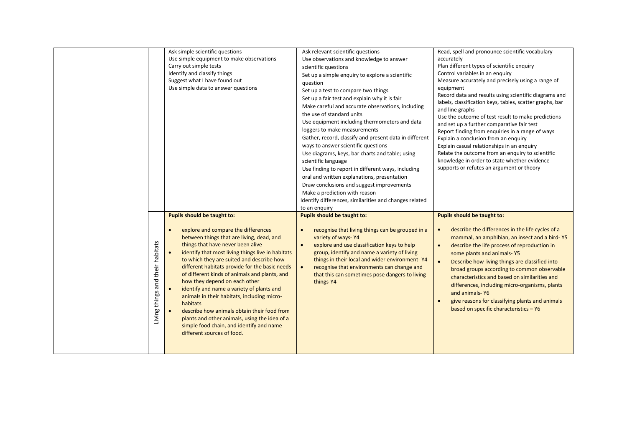|                                  | Ask simple scientific questions<br>Use simple equipment to make observations<br>Carry out simple tests<br>Identify and classify things<br>Suggest what I have found out<br>Use simple data to answer questions                                                                                                                                                                                                                                                                                                                                                                                                                                                                                         | Ask relevant scientific questions<br>Use observations and knowledge to answer<br>scientific questions<br>Set up a simple enquiry to explore a scientific<br>question<br>Set up a test to compare two things<br>Set up a fair test and explain why it is fair<br>Make careful and accurate observations, including<br>the use of standard units<br>Use equipment including thermometers and data<br>loggers to make measurements<br>Gather, record, classify and present data in different<br>ways to answer scientific questions<br>Use diagrams, keys, bar charts and table; using<br>scientific language<br>Use finding to report in different ways, including<br>oral and written explanations, presentation<br>Draw conclusions and suggest improvements<br>Make a prediction with reason<br>Identify differences, similarities and changes related<br>to an enquiry | Read, spell and pronounce scientific vocabulary<br>accurately<br>Plan different types of scientific enquiry<br>Control variables in an enquiry<br>Measure accurately and precisely using a range of<br>equipment<br>Record data and results using scientific diagrams and<br>labels, classification keys, tables, scatter graphs, bar<br>and line graphs<br>Use the outcome of test result to make predictions<br>and set up a further comparative fair test<br>Report finding from enquiries in a range of ways<br>Explain a conclusion from an enquiry<br>Explain casual relationships in an enquiry<br>Relate the outcome from an enquiry to scientific<br>knowledge in order to state whether evidence<br>supports or refutes an argument or theory |
|----------------------------------|--------------------------------------------------------------------------------------------------------------------------------------------------------------------------------------------------------------------------------------------------------------------------------------------------------------------------------------------------------------------------------------------------------------------------------------------------------------------------------------------------------------------------------------------------------------------------------------------------------------------------------------------------------------------------------------------------------|--------------------------------------------------------------------------------------------------------------------------------------------------------------------------------------------------------------------------------------------------------------------------------------------------------------------------------------------------------------------------------------------------------------------------------------------------------------------------------------------------------------------------------------------------------------------------------------------------------------------------------------------------------------------------------------------------------------------------------------------------------------------------------------------------------------------------------------------------------------------------|---------------------------------------------------------------------------------------------------------------------------------------------------------------------------------------------------------------------------------------------------------------------------------------------------------------------------------------------------------------------------------------------------------------------------------------------------------------------------------------------------------------------------------------------------------------------------------------------------------------------------------------------------------------------------------------------------------------------------------------------------------|
| Living things and their habitats | Pupils should be taught to:<br>explore and compare the differences<br>$\bullet$<br>between things that are living, dead, and<br>things that have never been alive<br>identify that most living things live in habitats<br>to which they are suited and describe how<br>different habitats provide for the basic needs<br>of different kinds of animals and plants, and<br>how they depend on each other<br>identify and name a variety of plants and<br>animals in their habitats, including micro-<br>habitats<br>describe how animals obtain their food from<br>$\bullet$<br>plants and other animals, using the idea of a<br>simple food chain, and identify and name<br>different sources of food. | Pupils should be taught to:<br>$\bullet$<br>recognise that living things can be grouped in a<br>variety of ways-Y4<br>explore and use classification keys to help<br>group, identify and name a variety of living<br>things in their local and wider environment-Y4<br>recognise that environments can change and<br>that this can sometimes pose dangers to living<br>things-Y4                                                                                                                                                                                                                                                                                                                                                                                                                                                                                         | Pupils should be taught to:<br>describe the differences in the life cycles of a<br>$\bullet$<br>mammal, an amphibian, an insect and a bird-Y5<br>describe the life process of reproduction in<br>$\bullet$<br>some plants and animals-Y5<br>$\bullet$<br>Describe how living things are classified into<br>broad groups according to common observable<br>characteristics and based on similarities and<br>differences, including micro-organisms, plants<br>and animals-Y6<br>give reasons for classifying plants and animals<br>based on specific characteristics - Y6                                                                                                                                                                                |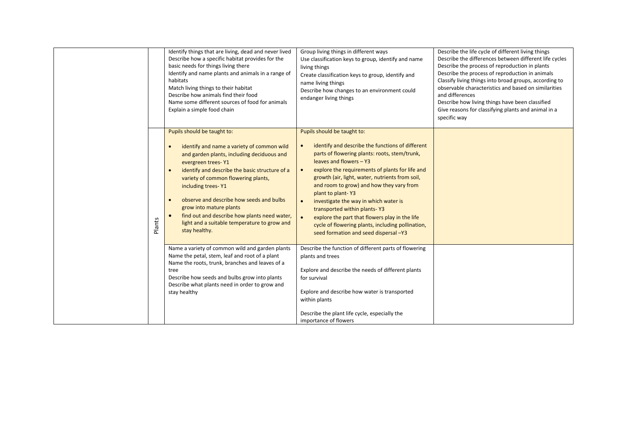|        | Identify things that are living, dead and never lived<br>Describe how a specific habitat provides for the<br>basic needs for things living there<br>Identify and name plants and animals in a range of<br>habitats<br>Match living things to their habitat<br>Describe how animals find their food<br>Name some different sources of food for animals<br>Explain a simple food chain                                                                                                        | Group living things in different ways<br>Use classification keys to group, identify and name<br>living things<br>Create classification keys to group, identify and<br>name living things<br>Describe how changes to an environment could<br>endanger living things                                                                                                                                                                                                                                                                                                                    | Describe the life cycle of different living things<br>Describe the differences between different life cycles<br>Describe the process of reproduction in plants<br>Describe the process of reproduction in animals<br>Classify living things into broad groups, according to<br>observable characteristics and based on similarities<br>and differences<br>Describe how living things have been classified<br>Give reasons for classifying plants and animal in a<br>specific way |
|--------|---------------------------------------------------------------------------------------------------------------------------------------------------------------------------------------------------------------------------------------------------------------------------------------------------------------------------------------------------------------------------------------------------------------------------------------------------------------------------------------------|---------------------------------------------------------------------------------------------------------------------------------------------------------------------------------------------------------------------------------------------------------------------------------------------------------------------------------------------------------------------------------------------------------------------------------------------------------------------------------------------------------------------------------------------------------------------------------------|----------------------------------------------------------------------------------------------------------------------------------------------------------------------------------------------------------------------------------------------------------------------------------------------------------------------------------------------------------------------------------------------------------------------------------------------------------------------------------|
| Plants | Pupils should be taught to:<br>identify and name a variety of common wild<br>$\bullet$<br>and garden plants, including deciduous and<br>evergreen trees-Y1<br>identify and describe the basic structure of a<br>$\bullet$<br>variety of common flowering plants,<br>including trees-Y1<br>observe and describe how seeds and bulbs<br>$\bullet$<br>grow into mature plants<br>find out and describe how plants need water,<br>light and a suitable temperature to grow and<br>stay healthy. | Pupils should be taught to:<br>identify and describe the functions of different<br>$\bullet$<br>parts of flowering plants: roots, stem/trunk,<br>leaves and flowers - Y3<br>explore the requirements of plants for life and<br>$\bullet$<br>growth (air, light, water, nutrients from soil,<br>and room to grow) and how they vary from<br>plant to plant-Y3<br>investigate the way in which water is<br>transported within plants-Y3<br>explore the part that flowers play in the life<br>cycle of flowering plants, including pollination,<br>seed formation and seed dispersal -Y3 |                                                                                                                                                                                                                                                                                                                                                                                                                                                                                  |
|        | Name a variety of common wild and garden plants<br>Name the petal, stem, leaf and root of a plant<br>Name the roots, trunk, branches and leaves of a<br>tree<br>Describe how seeds and bulbs grow into plants<br>Describe what plants need in order to grow and<br>stay healthy                                                                                                                                                                                                             | Describe the function of different parts of flowering<br>plants and trees<br>Explore and describe the needs of different plants<br>for survival<br>Explore and describe how water is transported<br>within plants<br>Describe the plant life cycle, especially the<br>importance of flowers                                                                                                                                                                                                                                                                                           |                                                                                                                                                                                                                                                                                                                                                                                                                                                                                  |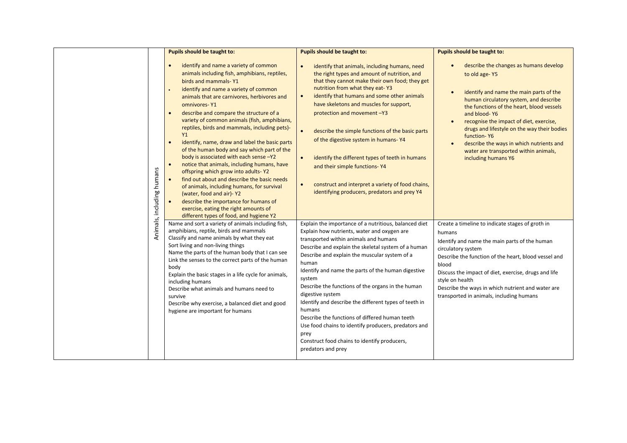|                           | Pupils should be taught to:                                                                                                                                                                                                                                                                                                                                                                                                                                                                                                                                                                                                                                                                                                                                                                                                                                                               | Pupils should be taught to:                                                                                                                                                                                                                                                                                                                                                                                                                                                                                                                                                                                                                                        | Pupils should be taught to:                                                                                                                                                                                                                                                                                                                                                                                                    |
|---------------------------|-------------------------------------------------------------------------------------------------------------------------------------------------------------------------------------------------------------------------------------------------------------------------------------------------------------------------------------------------------------------------------------------------------------------------------------------------------------------------------------------------------------------------------------------------------------------------------------------------------------------------------------------------------------------------------------------------------------------------------------------------------------------------------------------------------------------------------------------------------------------------------------------|--------------------------------------------------------------------------------------------------------------------------------------------------------------------------------------------------------------------------------------------------------------------------------------------------------------------------------------------------------------------------------------------------------------------------------------------------------------------------------------------------------------------------------------------------------------------------------------------------------------------------------------------------------------------|--------------------------------------------------------------------------------------------------------------------------------------------------------------------------------------------------------------------------------------------------------------------------------------------------------------------------------------------------------------------------------------------------------------------------------|
| Animals, including humans | identify and name a variety of common<br>animals including fish, amphibians, reptiles,<br>birds and mammals-Y1<br>identify and name a variety of common<br>animals that are carnivores, herbivores and<br>omnivores-Y1<br>describe and compare the structure of a<br>variety of common animals (fish, amphibians,<br>reptiles, birds and mammals, including pets)-<br>Y1<br>identify, name, draw and label the basic parts<br>$\bullet$<br>of the human body and say which part of the<br>body is associated with each sense -Y2<br>notice that animals, including humans, have<br>$\bullet$<br>offspring which grow into adults-Y2<br>find out about and describe the basic needs<br>of animals, including humans, for survival<br>(water, food and air)-Y2<br>describe the importance for humans of<br>exercise, eating the right amounts of<br>different types of food, and hygiene Y2 | identify that animals, including humans, need<br>the right types and amount of nutrition, and<br>that they cannot make their own food; they get<br>nutrition from what they eat-Y3<br>identify that humans and some other animals<br>$\bullet$<br>have skeletons and muscles for support,<br>protection and movement -Y3<br>describe the simple functions of the basic parts<br>$\bullet$<br>of the digestive system in humans-Y4<br>identify the different types of teeth in humans<br>$\bullet$<br>and their simple functions-Y4<br>construct and interpret a variety of food chains,<br>$\bullet$<br>identifying producers, predators and prey Y4               | describe the changes as humans develop<br>to old age-Y5<br>identify and name the main parts of the<br>human circulatory system, and describe<br>the functions of the heart, blood vessels<br>and blood-Y6<br>recognise the impact of diet, exercise,<br>drugs and lifestyle on the way their bodies<br>function-Y6<br>describe the ways in which nutrients and<br>water are transported within animals,<br>including humans Y6 |
|                           | Name and sort a variety of animals including fish,<br>amphibians, reptile, birds and mammals<br>Classify and name animals by what they eat<br>Sort living and non-living things<br>Name the parts of the human body that I can see<br>Link the senses to the correct parts of the human<br>body<br>Explain the basic stages in a life cycle for animals,<br>including humans<br>Describe what animals and humans need to<br>survive<br>Describe why exercise, a balanced diet and good<br>hygiene are important for humans                                                                                                                                                                                                                                                                                                                                                                | Explain the importance of a nutritious, balanced diet<br>Explain how nutrients, water and oxygen are<br>transported within animals and humans<br>Describe and explain the skeletal system of a human<br>Describe and explain the muscular system of a<br>human<br>Identify and name the parts of the human digestive<br>system<br>Describe the functions of the organs in the human<br>digestive system<br>Identify and describe the different types of teeth in<br>humans<br>Describe the functions of differed human teeth<br>Use food chains to identify producers, predators and<br>prey<br>Construct food chains to identify producers,<br>predators and prey | Create a timeline to indicate stages of groth in<br>humans<br>Identify and name the main parts of the human<br>circulatory system<br>Describe the function of the heart, blood vessel and<br>blood<br>Discuss the impact of diet, exercise, drugs and life<br>style on health<br>Describe the ways in which nutrient and water are<br>transported in animals, including humans                                                 |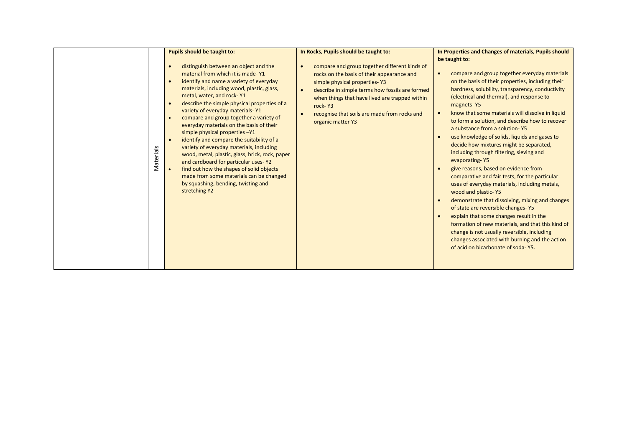|           | Pupils should be taught to:                                                                                                                                                                                                                                                                                                                                                                                                                                                                                                                                                                                                                                                                                                                                                                                                    | In Rocks, Pupils should be taught to:                                                                                                                                                                                                                                                                                                       | In Properties and Changes of materials, Pupils should                                                                                                                                                                                                                                                                                                                                                                                                                                                                                                                                                                                                                                                                                                                                                                                                                                                                                                                                                                                   |
|-----------|--------------------------------------------------------------------------------------------------------------------------------------------------------------------------------------------------------------------------------------------------------------------------------------------------------------------------------------------------------------------------------------------------------------------------------------------------------------------------------------------------------------------------------------------------------------------------------------------------------------------------------------------------------------------------------------------------------------------------------------------------------------------------------------------------------------------------------|---------------------------------------------------------------------------------------------------------------------------------------------------------------------------------------------------------------------------------------------------------------------------------------------------------------------------------------------|-----------------------------------------------------------------------------------------------------------------------------------------------------------------------------------------------------------------------------------------------------------------------------------------------------------------------------------------------------------------------------------------------------------------------------------------------------------------------------------------------------------------------------------------------------------------------------------------------------------------------------------------------------------------------------------------------------------------------------------------------------------------------------------------------------------------------------------------------------------------------------------------------------------------------------------------------------------------------------------------------------------------------------------------|
| Materials | distinguish between an object and the<br>$\bullet$<br>material from which it is made-Y1<br>identify and name a variety of everyday<br>$\bullet$<br>materials, including wood, plastic, glass,<br>metal, water, and rock-Y1<br>describe the simple physical properties of a<br>$\bullet$<br>variety of everyday materials-Y1<br>compare and group together a variety of<br>$\bullet$<br>everyday materials on the basis of their<br>simple physical properties -Y1<br>identify and compare the suitability of a<br>$\bullet$<br>variety of everyday materials, including<br>wood, metal, plastic, glass, brick, rock, paper<br>and cardboard for particular uses-Y2<br>find out how the shapes of solid objects<br>$\bullet$<br>made from some materials can be changed<br>by squashing, bending, twisting and<br>stretching Y2 | compare and group together different kinds of<br>$\bullet$<br>rocks on the basis of their appearance and<br>simple physical properties-Y3<br>describe in simple terms how fossils are formed<br>$\bullet$<br>when things that have lived are trapped within<br>rock-Y3<br>recognise that soils are made from rocks and<br>organic matter Y3 | be taught to:<br>compare and group together everyday materials<br>on the basis of their properties, including their<br>hardness, solubility, transparency, conductivity<br>(electrical and thermal), and response to<br>magnets-Y5<br>know that some materials will dissolve in liquid<br>to form a solution, and describe how to recover<br>a substance from a solution-Y5<br>use knowledge of solids, liquids and gases to<br>decide how mixtures might be separated,<br>including through filtering, sieving and<br>evaporating-Y5<br>give reasons, based on evidence from<br>comparative and fair tests, for the particular<br>uses of everyday materials, including metals,<br>wood and plastic-Y5<br>demonstrate that dissolving, mixing and changes<br>of state are reversible changes-Y5<br>explain that some changes result in the<br>formation of new materials, and that this kind of<br>change is not usually reversible, including<br>changes associated with burning and the action<br>of acid on bicarbonate of soda-Y5. |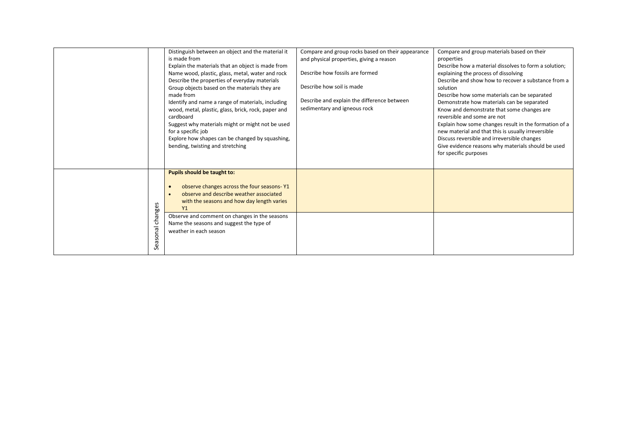|                     | Distinguish between an object and the material it<br>is made from<br>Explain the materials that an object is made from<br>Name wood, plastic, glass, metal, water and rock<br>Describe the properties of everyday materials<br>Group objects based on the materials they are<br>made from<br>Identify and name a range of materials, including<br>wood, metal, plastic, glass, brick, rock, paper and<br>cardboard<br>Suggest why materials might or might not be used<br>for a specific job<br>Explore how shapes can be changed by squashing,<br>bending, twisting and stretching | Compare and group rocks based on their appearance<br>and physical properties, giving a reason<br>Describe how fossils are formed<br>Describe how soil is made<br>Describe and explain the difference between<br>sedimentary and igneous rock | Compare and group materials based on their<br>properties<br>Describe how a material dissolves to form a solution:<br>explaining the process of dissolving<br>Describe and show how to recover a substance from a<br>solution<br>Describe how some materials can be separated<br>Demonstrate how materials can be separated<br>Know and demonstrate that some changes are<br>reversible and some are not<br>Explain how some changes result in the formation of a<br>new material and that this is usually irreversible<br>Discuss reversible and irreversible changes<br>Give evidence reasons why materials should be used<br>for specific purposes |
|---------------------|-------------------------------------------------------------------------------------------------------------------------------------------------------------------------------------------------------------------------------------------------------------------------------------------------------------------------------------------------------------------------------------------------------------------------------------------------------------------------------------------------------------------------------------------------------------------------------------|----------------------------------------------------------------------------------------------------------------------------------------------------------------------------------------------------------------------------------------------|------------------------------------------------------------------------------------------------------------------------------------------------------------------------------------------------------------------------------------------------------------------------------------------------------------------------------------------------------------------------------------------------------------------------------------------------------------------------------------------------------------------------------------------------------------------------------------------------------------------------------------------------------|
| changes<br>Seasonal | Pupils should be taught to:<br>observe changes across the four seasons-Y1<br>$\bullet$<br>observe and describe weather associated<br>$\bullet$<br>with the seasons and how day length varies<br>Y1<br>Observe and comment on changes in the seasons<br>Name the seasons and suggest the type of<br>weather in each season                                                                                                                                                                                                                                                           |                                                                                                                                                                                                                                              |                                                                                                                                                                                                                                                                                                                                                                                                                                                                                                                                                                                                                                                      |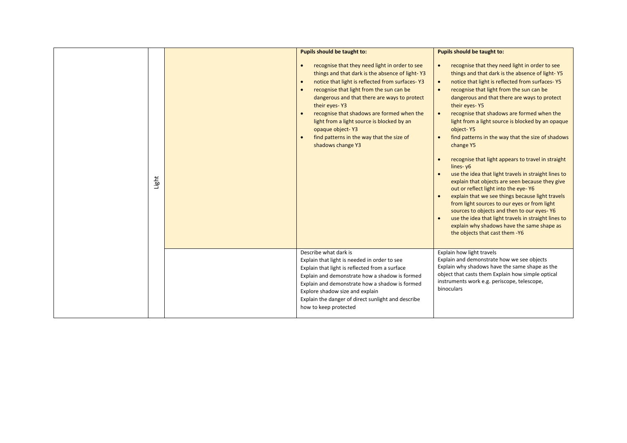| Light | <b>Pupils should be taught to:</b><br>recognise that they need light in order to see<br>$\bullet$<br>things and that dark is the absence of light-Y3<br>notice that light is reflected from surfaces-Y3<br>$\bullet$<br>recognise that light from the sun can be<br>$\bullet$<br>dangerous and that there are ways to protect<br>their eyes-Y3<br>recognise that shadows are formed when the<br>light from a light source is blocked by an<br>opaque object-Y3<br>find patterns in the way that the size of<br>$\bullet$<br>shadows change Y3 | Pupils should be taught to:<br>recognise that they need light in order to see<br>$\bullet$<br>things and that dark is the absence of light-Y5<br>notice that light is reflected from surfaces-Y5<br>$\bullet$<br>recognise that light from the sun can be<br>$\bullet$<br>dangerous and that there are ways to protect<br>their eyes-Y5<br>recognise that shadows are formed when the<br>light from a light source is blocked by an opaque<br>object-Y5<br>find patterns in the way that the size of shadows<br>change Y5<br>recognise that light appears to travel in straight<br>lines-y6<br>use the idea that light travels in straight lines to<br>explain that objects are seen because they give<br>out or reflect light into the eye-Y6<br>explain that we see things because light travels<br>from light sources to our eyes or from light<br>sources to objects and then to our eyes-Y6<br>use the idea that light travels in straight lines to<br>explain why shadows have the same shape as<br>the objects that cast them -Y6 |
|-------|-----------------------------------------------------------------------------------------------------------------------------------------------------------------------------------------------------------------------------------------------------------------------------------------------------------------------------------------------------------------------------------------------------------------------------------------------------------------------------------------------------------------------------------------------|------------------------------------------------------------------------------------------------------------------------------------------------------------------------------------------------------------------------------------------------------------------------------------------------------------------------------------------------------------------------------------------------------------------------------------------------------------------------------------------------------------------------------------------------------------------------------------------------------------------------------------------------------------------------------------------------------------------------------------------------------------------------------------------------------------------------------------------------------------------------------------------------------------------------------------------------------------------------------------------------------------------------------------------|
|       | Describe what dark is<br>Explain that light is needed in order to see<br>Explain that light is reflected from a surface<br>Explain and demonstrate how a shadow is formed<br>Explain and demonstrate how a shadow is formed<br>Explore shadow size and explain<br>Explain the danger of direct sunlight and describe<br>how to keep protected                                                                                                                                                                                                 | Explain how light travels<br>Explain and demonstrate how we see objects<br>Explain why shadows have the same shape as the<br>object that casts them Explain how simple optical<br>instruments work e.g. periscope, telescope,<br>binoculars                                                                                                                                                                                                                                                                                                                                                                                                                                                                                                                                                                                                                                                                                                                                                                                              |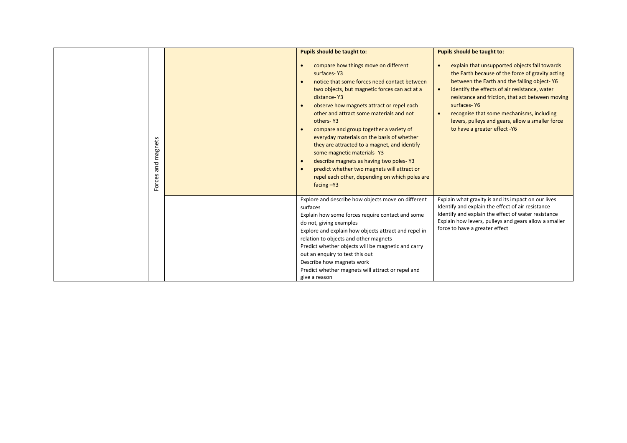|                    | Pupils should be taught to:                                                                                                                                                                                                                                                                                                                                                                                                                                                                                                                                                                                               | Pupils should be taught to:                                                                                                                                                                                                                                                                                                                                                                           |
|--------------------|---------------------------------------------------------------------------------------------------------------------------------------------------------------------------------------------------------------------------------------------------------------------------------------------------------------------------------------------------------------------------------------------------------------------------------------------------------------------------------------------------------------------------------------------------------------------------------------------------------------------------|-------------------------------------------------------------------------------------------------------------------------------------------------------------------------------------------------------------------------------------------------------------------------------------------------------------------------------------------------------------------------------------------------------|
| Forces and magnets | compare how things move on different<br>$\bullet$<br>surfaces-Y3<br>notice that some forces need contact between<br>two objects, but magnetic forces can act at a<br>distance-Y3<br>observe how magnets attract or repel each<br>other and attract some materials and not<br>others-Y3<br>compare and group together a variety of<br>everyday materials on the basis of whether<br>they are attracted to a magnet, and identify<br>some magnetic materials-Y3<br>describe magnets as having two poles-Y3<br>predict whether two magnets will attract or<br>repel each other, depending on which poles are<br>facing $-Y3$ | explain that unsupported objects fall towards<br>the Earth because of the force of gravity acting<br>between the Earth and the falling object-Y6<br>identify the effects of air resistance, water<br>resistance and friction, that act between moving<br>surfaces-Y6<br>recognise that some mechanisms, including<br>levers, pulleys and gears, allow a smaller force<br>to have a greater effect -Y6 |
|                    | Explore and describe how objects move on different<br>surfaces<br>Explain how some forces require contact and some<br>do not, giving examples<br>Explore and explain how objects attract and repel in<br>relation to objects and other magnets<br>Predict whether objects will be magnetic and carry<br>out an enquiry to test this out<br>Describe how magnets work<br>Predict whether magnets will attract or repel and<br>give a reason                                                                                                                                                                                | Explain what gravity is and its impact on our lives<br>Identify and explain the effect of air resistance<br>Identify and explain the effect of water resistance<br>Explain how levers, pulleys and gears allow a smaller<br>force to have a greater effect                                                                                                                                            |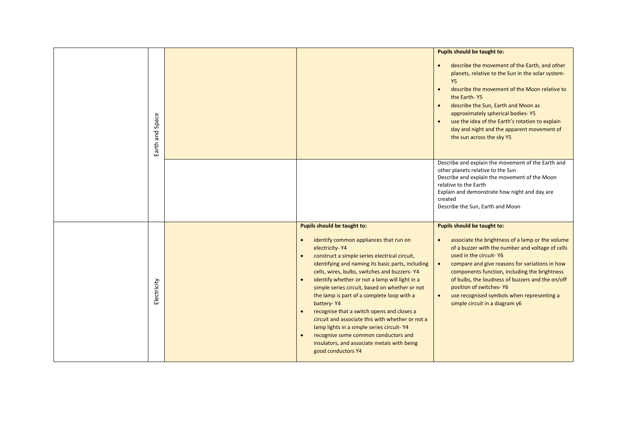|  |                    |                                                                                                                                                                                                                                                                                                                                                                                                                                                                                                                                                                                                                                                                                                                                            | Pupils should be taught to:                                                                                                                                                                                                                                                                                                                                                                                                                                      |
|--|--------------------|--------------------------------------------------------------------------------------------------------------------------------------------------------------------------------------------------------------------------------------------------------------------------------------------------------------------------------------------------------------------------------------------------------------------------------------------------------------------------------------------------------------------------------------------------------------------------------------------------------------------------------------------------------------------------------------------------------------------------------------------|------------------------------------------------------------------------------------------------------------------------------------------------------------------------------------------------------------------------------------------------------------------------------------------------------------------------------------------------------------------------------------------------------------------------------------------------------------------|
|  | Space<br>Earth and |                                                                                                                                                                                                                                                                                                                                                                                                                                                                                                                                                                                                                                                                                                                                            | describe the movement of the Earth, and other<br>$\bullet$<br>planets, relative to the Sun in the solar system-<br>Y <sub>5</sub><br>describe the movement of the Moon relative to<br>$\bullet$<br>the Earth-Y5<br>describe the Sun, Earth and Moon as<br>$\bullet$<br>approximately spherical bodies-Y5<br>use the idea of the Earth's rotation to explain<br>day and night and the apparent movement of<br>the sun across the sky Y5                           |
|  |                    |                                                                                                                                                                                                                                                                                                                                                                                                                                                                                                                                                                                                                                                                                                                                            | Describe and explain the movement of the Earth and<br>other planets relative to the Sun<br>Describe and explain the movement of the Moon<br>relative to the Earth<br>Explain and demonstrate how night and day are<br>created<br>Describe the Sun, Earth and Moon                                                                                                                                                                                                |
|  | Electricity        | Pupils should be taught to:<br>identify common appliances that run on<br>$\bullet$<br>electricity-Y4<br>construct a simple series electrical circuit,<br>$\bullet$<br>identifying and naming its basic parts, including<br>cells, wires, bulbs, switches and buzzers-Y4<br>identify whether or not a lamp will light in a<br>$\bullet$<br>simple series circuit, based on whether or not<br>the lamp is part of a complete loop with a<br>battery-Y4<br>recognise that a switch opens and closes a<br>$\bullet$<br>circuit and associate this with whether or not a<br>lamp lights in a simple series circuit-Y4<br>recognise some common conductors and<br>$\bullet$<br>insulators, and associate metals with being<br>good conductors Y4 | <b>Pupils should be taught to:</b><br>associate the brightness of a lamp or the volume<br>$\bullet$<br>of a buzzer with the number and voltage of cells<br>used in the circuit-Y6<br>compare and give reasons for variations in how<br>$\bullet$<br>components function, including the brightness<br>of bulbs, the loudness of buzzers and the on/off<br>position of switches-Y6<br>use recognised symbols when representing a<br>simple circuit in a diagram y6 |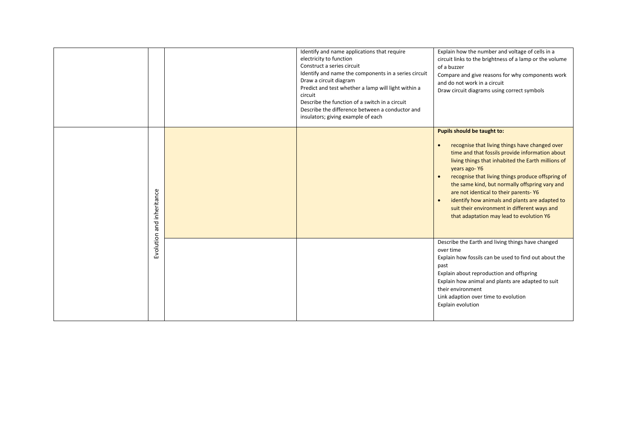|                 | Identify and name applications that require<br>electricity to function<br>Construct a series circuit<br>Identify and name the components in a series circuit<br>Draw a circuit diagram<br>Predict and test whether a lamp will light within a<br>circuit<br>Describe the function of a switch in a circuit<br>Describe the difference between a conductor and<br>insulators; giving example of each | Explain how the number and voltage of cells in a<br>circuit links to the brightness of a lamp or the volume<br>of a buzzer<br>Compare and give reasons for why components work<br>and do not work in a circuit<br>Draw circuit diagrams using correct symbols                                                                                                                                                                                                                                                                  |
|-----------------|-----------------------------------------------------------------------------------------------------------------------------------------------------------------------------------------------------------------------------------------------------------------------------------------------------------------------------------------------------------------------------------------------------|--------------------------------------------------------------------------------------------------------------------------------------------------------------------------------------------------------------------------------------------------------------------------------------------------------------------------------------------------------------------------------------------------------------------------------------------------------------------------------------------------------------------------------|
| and inheritance |                                                                                                                                                                                                                                                                                                                                                                                                     | Pupils should be taught to:<br>recognise that living things have changed over<br>$\bullet$<br>time and that fossils provide information about<br>living things that inhabited the Earth millions of<br>years ago-Y6<br>recognise that living things produce offspring of<br>$\bullet$<br>the same kind, but normally offspring vary and<br>are not identical to their parents-Y6<br>identify how animals and plants are adapted to<br>suit their environment in different ways and<br>that adaptation may lead to evolution Y6 |
| Evolution       |                                                                                                                                                                                                                                                                                                                                                                                                     | Describe the Earth and living things have changed<br>over time<br>Explain how fossils can be used to find out about the<br>past<br>Explain about reproduction and offspring<br>Explain how animal and plants are adapted to suit<br>their environment<br>Link adaption over time to evolution<br>Explain evolution                                                                                                                                                                                                             |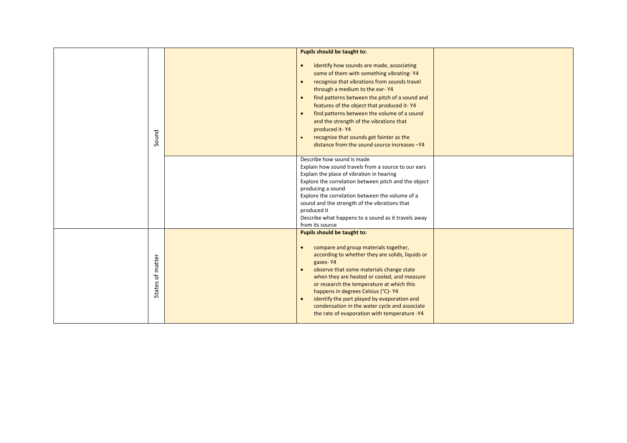|                     | <b>Pupils should be taught to:</b>                                                                                                                                                                                                                                                                                                                                                                                                                                                                                                               |  |
|---------------------|--------------------------------------------------------------------------------------------------------------------------------------------------------------------------------------------------------------------------------------------------------------------------------------------------------------------------------------------------------------------------------------------------------------------------------------------------------------------------------------------------------------------------------------------------|--|
| Sound               | identify how sounds are made, associating<br>$\bullet$<br>some of them with something vibrating-Y4<br>recognise that vibrations from sounds travel<br>$\bullet$<br>through a medium to the ear-Y4<br>find patterns between the pitch of a sound and<br>$\bullet$<br>features of the object that produced it-Y4<br>find patterns between the volume of a sound<br>$\bullet$<br>and the strength of the vibrations that<br>produced it-Y4<br>recognise that sounds get fainter as the<br>$\bullet$<br>distance from the sound source increases -Y4 |  |
|                     | Describe how sound is made<br>Explain how sound travels from a source to our ears<br>Explain the place of vibration in hearing<br>Explore the correlation between pitch and the object<br>producing a sound<br>Explore the correlation between the volume of a<br>sound and the strength of the vibrations that<br>produced it<br>Describe what happens to a sound as it travels away<br>from its source                                                                                                                                         |  |
| of matter<br>States | Pupils should be taught to:<br>compare and group materials together,<br>$\bullet$<br>according to whether they are solids, liquids or<br>gases-Y4<br>observe that some materials change state<br>$\bullet$<br>when they are heated or cooled, and measure<br>or research the temperature at which this<br>happens in degrees Celsius (°C)- Y4<br>identify the part played by evaporation and<br>$\bullet$<br>condensation in the water cycle and associate<br>the rate of evaporation with temperature -Y4                                       |  |